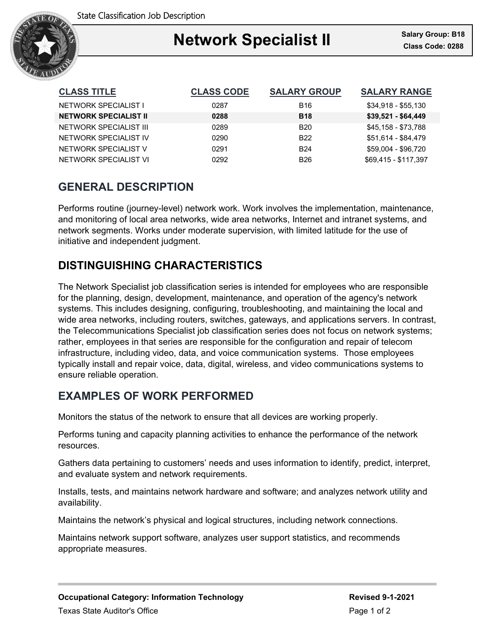

| <b>CLASS TITLE</b>           | <b>CLASS CODE</b> | <b>SALARY GROUP</b> | <b>SALARY RANGE</b>  |
|------------------------------|-------------------|---------------------|----------------------|
| NETWORK SPECIALIST I         | 0287              | <b>B16</b>          | $$34,918 - $55,130$  |
| <b>NETWORK SPECIALIST II</b> | 0288              | <b>B18</b>          | $$39,521 - $64,449$  |
| NETWORK SPECIALIST III       | 0289              | B <sub>20</sub>     | \$45,158 - \$73,788  |
| NETWORK SPECIALIST IV        | 0290              | B <sub>22</sub>     | \$51.614 - \$84.479  |
| NETWORK SPECIALIST V         | 0291              | <b>B24</b>          | \$59.004 - \$96.720  |
| NETWORK SPECIALIST VI        | 0292              | <b>B26</b>          | \$69.415 - \$117.397 |

# **GENERAL DESCRIPTION**

Performs routine (journey-level) network work. Work involves the implementation, maintenance, and monitoring of local area networks, wide area networks, Internet and intranet systems, and network segments. Works under moderate supervision, with limited latitude for the use of initiative and independent judgment.

# **DISTINGUISHING CHARACTERISTICS**

The Network Specialist job classification series is intended for employees who are responsible for the planning, design, development, maintenance, and operation of the agency's network systems. This includes designing, configuring, troubleshooting, and maintaining the local and wide area networks, including routers, switches, gateways, and applications servers. In contrast, the Telecommunications Specialist job classification series does not focus on network systems; rather, employees in that series are responsible for the configuration and repair of telecom infrastructure, including video, data, and voice communication systems. Those employees typically install and repair voice, data, digital, wireless, and video communications systems to ensure reliable operation.

# **EXAMPLES OF WORK PERFORMED**

Monitors the status of the network to ensure that all devices are working properly.

Performs tuning and capacity planning activities to enhance the performance of the network resources.

Gathers data pertaining to customers' needs and uses information to identify, predict, interpret, and evaluate system and network requirements.

Installs, tests, and maintains network hardware and software; and analyzes network utility and availability.

Maintains the network's physical and logical structures, including network connections.

Maintains network support software, analyzes user support statistics, and recommends appropriate measures.